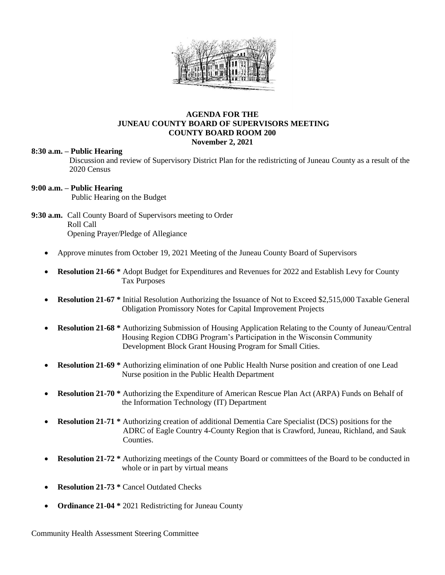

## **AGENDA FOR THE JUNEAU COUNTY BOARD OF SUPERVISORS MEETING COUNTY BOARD ROOM 200 November 2, 2021**

## **8:30 a.m. – Public Hearing**

 Discussion and review of Supervisory District Plan for the redistricting of Juneau County as a result of the 2020 Census

- **9:00 a.m. – Public Hearing**  Public Hearing on the Budget
- **9:30 a.m.** Call County Board of Supervisors meeting to Order Roll Call Opening Prayer/Pledge of Allegiance
	- Approve minutes from October 19, 2021 Meeting of the Juneau County Board of Supervisors
	- **Resolution 21-66 \*** Adopt Budget for Expenditures and Revenues for 2022 and Establish Levy for County Tax Purposes
	- **Resolution 21-67 \*** Initial Resolution Authorizing the Issuance of Not to Exceed \$2,515,000 Taxable General Obligation Promissory Notes for Capital Improvement Projects
	- **Resolution 21-68 \*** Authorizing Submission of Housing Application Relating to the County of Juneau/Central Housing Region CDBG Program's Participation in the Wisconsin Community Development Block Grant Housing Program for Small Cities.
	- **Resolution 21-69 \*** Authorizing elimination of one Public Health Nurse position and creation of one Lead Nurse position in the Public Health Department
	- **Resolution 21-70 \*** Authorizing the Expenditure of American Rescue Plan Act (ARPA) Funds on Behalf of the Information Technology (IT) Department
	- **Resolution 21-71 \*** Authorizing creation of additional Dementia Care Specialist (DCS) positions for the ADRC of Eagle Country 4-County Region that is Crawford, Juneau, Richland, and Sauk Counties.
	- **Resolution 21-72 \*** Authorizing meetings of the County Board or committees of the Board to be conducted in whole or in part by virtual means
	- **Resolution 21-73 \* Cancel Outdated Checks**
	- **Ordinance 21-04 \*** 2021 Redistricting for Juneau County